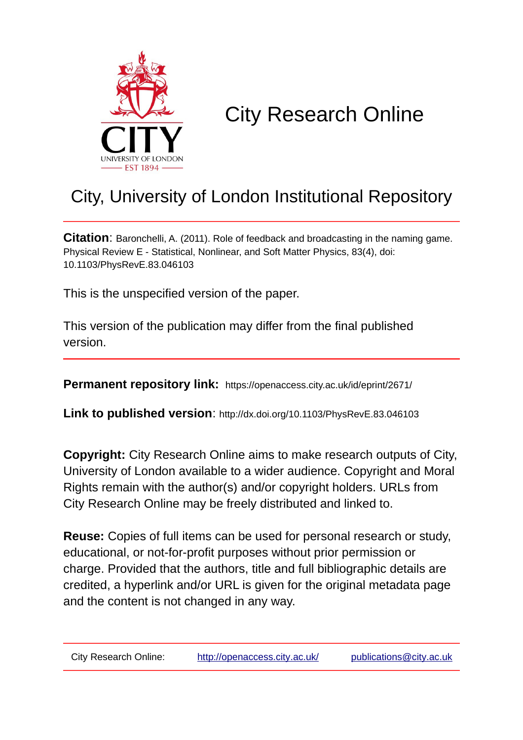

# City Research Online

## City, University of London Institutional Repository

**Citation**: Baronchelli, A. (2011). Role of feedback and broadcasting in the naming game. Physical Review E - Statistical, Nonlinear, and Soft Matter Physics, 83(4), doi: 10.1103/PhysRevE.83.046103

This is the unspecified version of the paper.

This version of the publication may differ from the final published version.

**Permanent repository link:** https://openaccess.city.ac.uk/id/eprint/2671/

**Link to published version**: http://dx.doi.org/10.1103/PhysRevE.83.046103

**Copyright:** City Research Online aims to make research outputs of City, University of London available to a wider audience. Copyright and Moral Rights remain with the author(s) and/or copyright holders. URLs from City Research Online may be freely distributed and linked to.

**Reuse:** Copies of full items can be used for personal research or study, educational, or not-for-profit purposes without prior permission or charge. Provided that the authors, title and full bibliographic details are credited, a hyperlink and/or URL is given for the original metadata page and the content is not changed in any way.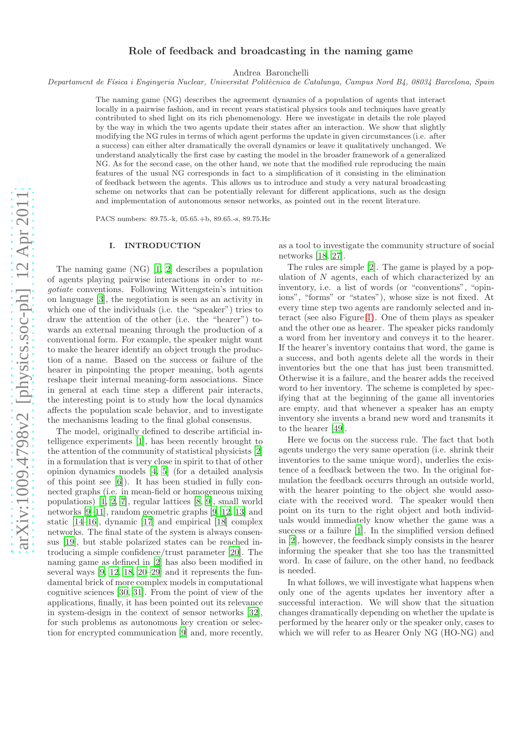### Role of feedback and broadcasting in the naming game

Andrea Baronchelli

*Departament de F´ısica i Enginyeria Nuclear, Universitat Polit`ecnica de Catalunya, Campus Nord B4, 08034 Barcelona, Spain*

The naming game (NG) describes the agreement dynamics of a population of agents that interact locally in a pairwise fashion, and in recent years statistical physics tools and techniques have greatly contributed to shed light on its rich phenomenology. Here we investigate in details the role played by the way in which the two agents update their states after an interaction. We show that slightly modifying the NG rules in terms of which agent performs the update in given circumstances (i.e. after a success) can either alter dramatically the overall dynamics or leave it qualitatively unchanged. We understand analytically the first case by casting the model in the broader framework of a generalized NG. As for the second case, on the other hand, we note that the modified rule reproducing the main features of the usual NG corresponds in fact to a simplification of it consisting in the elimination of feedback between the agents. This allows us to introduce and study a very natural broadcasting scheme on networks that can be potentially relevant for different applications, such as the design and implementation of autonomous sensor networks, as pointed out in the recent literature.

PACS numbers: 89.75.-k, 05.65.+b, 89.65.-s, 89.75.Hc

#### I. INTRODUCTION

The naming game (NG) [\[1](#page-6-0), [2\]](#page-6-1) describes a population of agents playing pairwise interactions in order to negotiate conventions. Following Wittengstein's intuition on language [\[3](#page-6-2)], the negotiation is seen as an activity in which one of the individuals (i.e. the "speaker") tries to draw the attention of the other (i.e. the "hearer") towards an external meaning through the production of a conventional form. For example, the speaker might want to make the hearer identify an object trough the production of a name. Based on the success or failure of the hearer in pinpointing the proper meaning, both agents reshape their internal meaning-form associations. Since in general at each time step a different pair interacts, the interesting point is to study how the local dynamics affects the population scale behavior, and to investigate the mechanisms leading to the final global consensus.

The model, originally defined to describe artificial intelligence experiments [\[1](#page-6-0)], has been recently brought to the attention of the community of statistical physicists [\[2](#page-6-1)] in a formulation that is very close in spirit to that of other opinion dynamics models [\[4,](#page-6-3) [5\]](#page-6-4) (for a detailed analysis of this point see [\[6\]](#page-6-5)). It has been studied in fully connected graphs (i.e. in mean-field or homogeneous mixing populations) [\[1,](#page-6-0) [2](#page-6-1), [7\]](#page-6-6), regular lattices [\[8](#page-6-7), [9\]](#page-6-8), small world networks [\[9](#page-6-8)[–11\]](#page-6-9), random geometric graphs [\[9,](#page-6-8) [12](#page-6-10), [13\]](#page-6-11) and static [\[14](#page-6-12)[–16\]](#page-6-13), dynamic [\[17\]](#page-6-14) and empirical [\[18\]](#page-6-15) complex networks. The final state of the system is always consensus [\[19](#page-6-16)], but stable polarized states can be reached introducing a simple confidence/trust parameter [\[20](#page-6-17)]. The naming game as defined in [\[2](#page-6-1)] has also been modified in several ways  $[9, 12, 18, 20–29]$  $[9, 12, 18, 20–29]$  $[9, 12, 18, 20–29]$  $[9, 12, 18, 20–29]$  $[9, 12, 18, 20–29]$  and it represents the fundamental brick of more complex models in computational cognitive sciences [\[30,](#page-6-19) [31\]](#page-6-20). From the point of view of the applications, finally, it has been pointed out its relevance in system-design in the context of sensor networks [\[32\]](#page-6-21), for such problems as autonomous key creation or selection for encrypted communication [\[9](#page-6-8)] and, more recently, as a tool to investigate the community structure of social networks [\[18,](#page-6-15) [27\]](#page-6-22).

The rules are simple [\[2](#page-6-1)]. The game is played by a population of  $N$  agents, each of which characterized by an inventory, i.e. a list of words (or "conventions", "opinions", "forms" or "states"), whose size is not fixed. At every time step two agents are randomly selected and interact (see also Figure [1\)](#page-2-0). One of them plays as speaker and the other one as hearer. The speaker picks randomly a word from her inventory and conveys it to the hearer. If the hearer's inventory contains that word, the game is a success, and both agents delete all the words in their inventories but the one that has just been transmitted. Otherwise it is a failure, and the hearer adds the received word to her inventory. The scheme is completed by specifying that at the beginning of the game all inventories are empty, and that whenever a speaker has an empty inventory she invents a brand new word and transmits it to the hearer [\[49\]](#page-7-0).

Here we focus on the success rule. The fact that both agents undergo the very same operation (i.e. shrink their inventories to the same unique word), underlies the existence of a feedback between the two. In the original formulation the feedback occurrs through an outside world, with the hearer pointing to the object she would associate with the received word. The speaker would then point on its turn to the right object and both individuals would immediately know whether the game was a success or a failure [\[1\]](#page-6-0). In the simplified version defined in [\[2\]](#page-6-1), however, the feedback simply consists in the hearer informing the speaker that she too has the transmitted word. In case of failure, on the other hand, no feedback is needed.

In what follows, we will investigate what happens when only one of the agents updates her inventory after a successful interaction. We will show that the situation changes dramatically depending on whether the update is performed by the hearer only or the speaker only, cases to which we will refer to as Hearer Only NG (HO-NG) and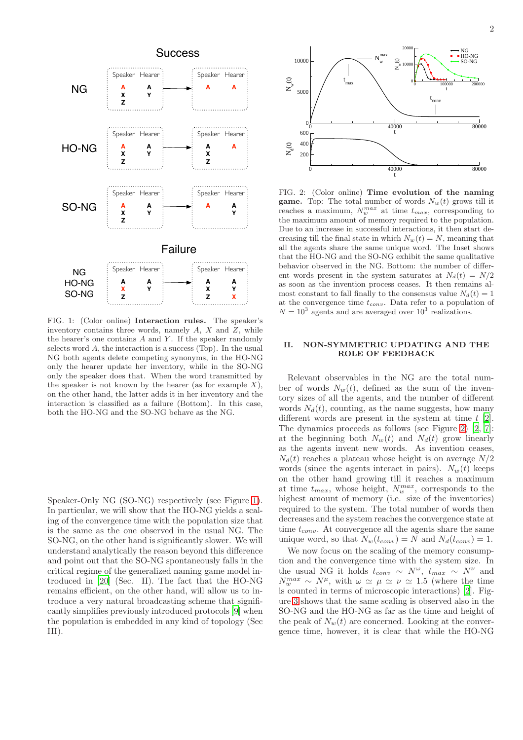

<span id="page-2-0"></span>FIG. 1: (Color online) Interaction rules. The speaker's inventory contains three words, namely  $A$ ,  $X$  and  $Z$ , while the hearer's one contains  $A$  and  $Y$ . If the speaker randomly selects word  $A$ , the interaction is a success (Top). In the usual NG both agents delete competing synonyms, in the HO-NG only the hearer update her inventory, while in the SO-NG only the speaker does that. When the word transmitted by the speaker is not known by the hearer (as for example  $X$ ). on the other hand, the latter adds it in her inventory and the interaction is classified as a failure (Bottom). In this case, both the HO-NG and the SO-NG behave as the NG.

Speaker-Only NG (SO-NG) respectively (see Figure [1\)](#page-2-0). In particular, we will show that the HO-NG yields a scaling of the convergence time with the population size that is the same as the one observed in the usual NG. The SO-NG, on the other hand is significantly slower. We will understand analytically the reason beyond this difference and point out that the SO-NG spontaneously falls in the critical regime of the generalized naming game model introduced in [\[20](#page-6-17)] (Sec. II). The fact that the HO-NG remains efficient, on the other hand, will allow us to introduce a very natural broadcasting scheme that significantly simplifies previously introduced protocols [\[9](#page-6-8)] when the population is embedded in any kind of topology (Sec III).



<span id="page-2-1"></span>FIG. 2: (Color online) Time evolution of the naming **game.** Top: The total number of words  $N_w(t)$  grows till it reaches a maximum,  $N_w^{max}$  at time  $t_{max}$ , corresponding to the maximum amount of memory required to the population. Due to an increase in successful interactions, it then start decreasing till the final state in which  $N_w(t) = N$ , meaning that all the agents share the same unique word. The Inset shows that the HO-NG and the SO-NG exhibit the same qualitative behavior observed in the NG. Bottom: the number of different words present in the system saturates at  $N_d(t) = N/2$ as soon as the invention process ceases. It then remains almost constant to fall finally to the consensus value  $N_d(t) = 1$ at the convergence time  $t_{conv}$ . Data refer to a population of  $N = 10<sup>3</sup>$  agents and are averaged over  $10<sup>3</sup>$  realizations.

#### II. NON-SYMMETRIC UPDATING AND THE ROLE OF FEEDBACK

Relevant observables in the NG are the total number of words  $N_w(t)$ , defined as the sum of the inventory sizes of all the agents, and the number of different words  $N_d(t)$ , counting, as the name suggests, how many different words are present in the system at time  $t \, [2]$  $t \, [2]$ . The dynamics proceeds as follows (see Figure [2\)](#page-2-1) [\[2,](#page-6-1) [7\]](#page-6-6): at the beginning both  $N_w(t)$  and  $N_d(t)$  grow linearly as the agents invent new words. As invention ceases,  $N_d(t)$  reaches a plateau whose height is on average  $N/2$ words (since the agents interact in pairs).  $N_w(t)$  keeps on the other hand growing till it reaches a maximum at time  $t_{max}$ , whose height,  $N_w^{max}$ , corresponds to the highest amount of memory (i.e. size of the inventories) required to the system. The total number of words then decreases and the system reaches the convergence state at time  $t_{conv}$ . At convergence all the agents share the same unique word, so that  $N_w(t_{conv}) = N$  and  $N_d(t_{conv}) = 1$ .

We now focus on the scaling of the memory consumption and the convergence time with the system size. In the usual NG it holds  $t_{conv} \sim N^{\omega}$ ,  $t_{max} \sim N^{\nu}$  and  $N_w^{max} \sim N^{\mu}$ , with  $\omega \simeq \mu \simeq \nu \simeq 1.5$  (where the time is counted in terms of microscopic interactions) [\[2\]](#page-6-1). Figure [3](#page-3-0) shows that the same scaling is observed also in the SO-NG and the HO-NG as far as the time and height of the peak of  $N_w(t)$  are concerned. Looking at the convergence time, however, it is clear that while the HO-NG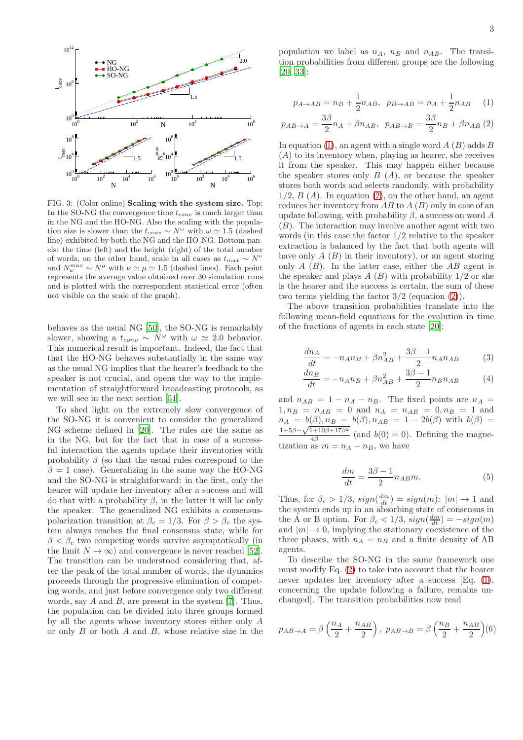

<span id="page-3-0"></span>FIG. 3: (Color online) Scaling with the system size. Top: In the SO-NG the convergence time  $t_{conv}$  is much larger than in the NG and the HO-NG. Also the scaling with the population size is slower than the  $t_{conv} \sim N^{\omega}$  with  $\omega \simeq 1.5$  (dashed line) exhibited by both the NG and the HO-NG. Bottom panels: the time (left) and the height (right) of the total number of words, on the other hand, scale in all cases as  $t_{max} \sim N^{\nu}$ and  $N_w^{max} \sim N^{\mu}$  with  $\nu \simeq \mu \simeq 1.5$  (dashed lines). Each point represents the average value obtained over 30 simulation runs and is plotted with the correspondent statistical error (often not visible on the scale of the graph).

behaves as the usual NG [\[50\]](#page-7-1), the SO-NG is remarkably slower, showing a  $t_{conv} \sim N^{\omega}$  with  $\omega \simeq 2.0$  behavior. This numerical result is important. Indeed, the fact that that the HO-NG behaves substantially in the same way as the usual NG implies that the hearer's feedback to the speaker is not crucial, and opens the way to the implementation of straightforward broadcasting protocols, as we will see in the next section [\[51\]](#page-7-2).

To shed light on the extremely slow convergence of the SO-NG it is convenient to consider the generalized NG scheme defined in [\[20](#page-6-17)]. The rules are the same as in the NG, but for the fact that in case of a successful interaction the agents update their inventories with probability  $\beta$  (so that the usual rules correspond to the  $\beta = 1$  case). Generalizing in the same way the HO-NG and the SO-NG is straightforward: in the first, only the hearer will update her inventory after a success and will do that with a probability  $\beta$ , in the latter it will be only the speaker. The generalized NG exhibits a consensuspolarization transition at  $\beta_c = 1/3$ . For  $\beta > \beta_c$  the system always reaches the final consensus state, while for  $\beta < \beta_c$  two competing words survive asymptotically (in the limit  $N \to \infty$ ) and convergence is never reached [\[52\]](#page-7-3). The transition can be understood considering that, after the peak of the total number of words, the dynamics proceeds through the progressive elimination of competing words, and just before convergence only two different words, say  $A$  and  $B$ , are present in the system [\[7\]](#page-6-6). Thus, the population can be divided into three groups formed by all the agents whose inventory stores either only A or only  $B$  or both  $A$  and  $B$ , whose relative size in the

population we label as  $n_A$ ,  $n_B$  and  $n_{AB}$ . The transition probabilities from different groups are the following [\[20,](#page-6-17) [33\]](#page-7-4):

<span id="page-3-1"></span>
$$
p_{A \to AB} = n_B + \frac{1}{2} n_{AB}, \ \ p_{B \to AB} = n_A + \frac{1}{2} n_{AB} \tag{1}
$$

$$
p_{AB \to A} = \frac{3\beta}{2} n_A + \beta n_{AB}, \ \ p_{AB \to B} = \frac{3\beta}{2} n_B + \beta n_{AB} (2)
$$

In equation [\(1\)](#page-3-1), an agent with a single word  $A(B)$  adds  $B$  $(A)$  to its inventory when, playing as hearer, she receives it from the speaker. This may happen either because the speaker stores only  $B(A)$ , or because the speaker stores both words and selects randomly, with probability  $1/2$ ,  $B(A)$ . In equation [\(2\)](#page-3-1), on the other hand, an agent reduces her inventory from  $AB$  to  $A(B)$  only in case of an update following, with probability  $\beta$ , a success on word A  $(B)$ . The interaction may involve another agent with two words (in this case the factor 1/2 relative to the speaker extraction is balanced by the fact that both agents will have only  $A(B)$  in their inventory), or an agent storing only  $A(B)$ . In the latter case, either the  $AB$  agent is the speaker and plays  $A(B)$  with probability  $1/2$  or she is the hearer and the success is certain, the sum of these two terms yielding the factor 3/2 (equation [\(2\)](#page-3-1)).

The above transition probabilities translate into the following mean-field equations for the evolution in time of the fractions of agents in each state [\[20\]](#page-6-17):

$$
\frac{dn_A}{dt} = -n_A n_B + \beta n_{AB}^2 + \frac{3\beta - 1}{2} n_A n_{AB}
$$
(3)

$$
\frac{dn_B}{dt} = -n_A n_B + \beta n_{AB}^2 + \frac{3\beta - 1}{2} n_B n_{AB} \tag{4}
$$

and  $n_{AB} = 1 - n_A - n_B$ . The fixed points are  $n_A =$  $1, n_B = n_{AB} = 0$  and  $n_A = n_{AB} = 0, n_B = 1$  and  $n_A = b(\beta), n_B = b(\beta), n_{AB} = 1 - 2b(\beta)$  with  $b(\beta) =$ <sup>1</sup>+5β –  $\sqrt{1+10\beta+17\beta^2}$  $\frac{4\beta}{4\beta}$  (and  $b(0) = 0$ ). Defining the magnetization as  $m = n_A - n_B$ , we have

$$
\frac{dm}{dt} = \frac{3\beta - 1}{2} n_{AB} m.
$$
\n(5)

Thus, for  $\beta_c > 1/3$ ,  $sign(\frac{dm}{dt}) = sign(m)$ :  $|m| \to 1$  and the system ends up in an absorbing state of consensus in the A or B option. For  $\beta_c < 1/3$ ,  $sign(\frac{dm}{dt}) = -sign(m)$ and  $|m| \to 0$ , implying the stationary coexistence of the three phases, with  $n_A = n_B$  and a finite density of AB agents.

To describe the SO-NG in the same framework one must modify Eq. [\(2\)](#page-3-1) to take into account that the hearer never updates her inventory after a success [Eq. [\(1\)](#page-3-1), concerning the update following a failure, remains unchanged]. The transition probabilities now read

$$
p_{AB\to A} = \beta \left(\frac{n_A}{2} + \frac{n_{AB}}{2}\right), \ p_{AB\to B} = \beta \left(\frac{n_B}{2} + \frac{n_{AB}}{2}\right)(6)
$$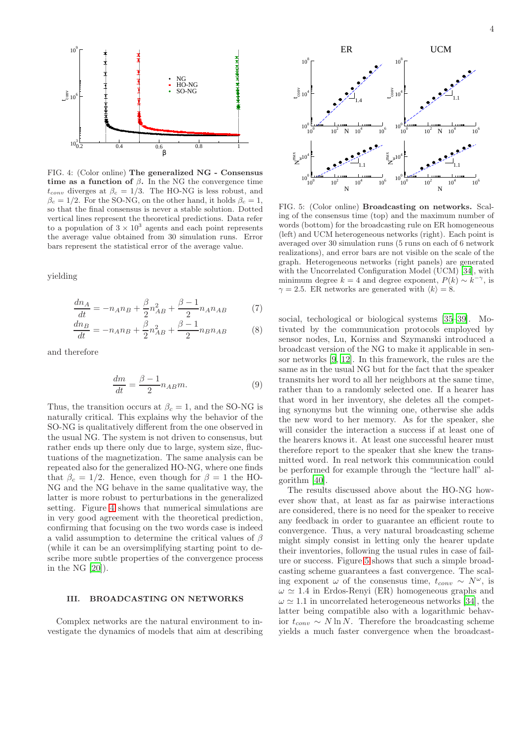

<span id="page-4-0"></span>FIG. 4: (Color online) The generalized NG - Consensus time as a function of  $\beta$ . In the NG the convergence time  $t_{conv}$  diverges at  $\beta_c = 1/3$ . The HO-NG is less robust, and  $\beta_c = 1/2$ . For the SO-NG, on the other hand, it holds  $\beta_c = 1$ , so that the final consensus is never a stable solution. Dotted vertical lines represent the theoretical predictions. Data refer to a population of  $3 \times 10^3$  agents and each point represents the average value obtained from 30 simulation runs. Error bars represent the statistical error of the average value.

yielding

$$
\frac{dn_A}{dt} = -n_A n_B + \frac{\beta}{2} n_{AB}^2 + \frac{\beta - 1}{2} n_A n_{AB} \tag{7}
$$

$$
\frac{dn_B}{dt} = -n_A n_B + \frac{\beta}{2} n_{AB}^2 + \frac{\beta - 1}{2} n_B n_{AB} \tag{8}
$$

and therefore

$$
\frac{dm}{dt} = \frac{\beta - 1}{2} n_{AB} m.
$$
\n(9)

Thus, the transition occurs at  $\beta_c = 1$ , and the SO-NG is naturally critical. This explains why the behavior of the SO-NG is qualitatively different from the one observed in the usual NG. The system is not driven to consensus, but rather ends up there only due to large, system size, fluctuations of the magnetization. The same analysis can be repeated also for the generalized HO-NG, where one finds that  $\beta_c = 1/2$ . Hence, even though for  $\beta = 1$  the HO-NG and the NG behave in the same qualitative way, the latter is more robust to perturbations in the generalized setting. Figure [4](#page-4-0) shows that numerical simulations are in very good agreement with the theoretical prediction, confirming that focusing on the two words case is indeed a valid assumption to determine the critical values of  $\beta$ (while it can be an oversimplifying starting point to describe more subtle properties of the convergence process in the NG [\[20](#page-6-17)]).

#### III. BROADCASTING ON NETWORKS

Complex networks are the natural environment to investigate the dynamics of models that aim at describing



<span id="page-4-1"></span>FIG. 5: (Color online) Broadcasting on networks. Scaling of the consensus time (top) and the maximum number of words (bottom) for the broadcasting rule on ER homogeneous (left) and UCM heterogeneous networks (right). Each point is averaged over 30 simulation runs (5 runs on each of 6 network realizations), and error bars are not visible on the scale of the graph. Heterogeneous networks (right panels) are generated with the Uncorrelated Configuration Model (UCM) [\[34](#page-7-5)], with minimum degree  $k = 4$  and degree exponent,  $P(k) \sim k^{-\gamma}$ , is  $\gamma = 2.5$ . ER networks are generated with  $\langle k \rangle = 8$ .

social, techological or biological systems [\[35](#page-7-6)[–39](#page-7-7)]. Motivated by the communication protocols employed by sensor nodes, Lu, Korniss and Szymanski introduced a broadcast version of the NG to make it applicable in sensor networks [\[9](#page-6-8), [12](#page-6-10)]. In this framework, the rules are the same as in the usual NG but for the fact that the speaker transmits her word to all her neighbors at the same time, rather than to a randomly selected one. If a hearer has that word in her inventory, she deletes all the competing synonyms but the winning one, otherwise she adds the new word to her memory. As for the speaker, she will consider the interaction a success if at least one of the hearers knows it. At least one successful hearer must therefore report to the speaker that she knew the transmitted word. In real network this communication could be performed for example through the "lecture hall" algorithm [\[40\]](#page-7-8).

The results discussed above about the HO-NG however show that, at least as far as pairwise interactions are considered, there is no need for the speaker to receive any feedback in order to guarantee an efficient route to convergence. Thus, a very natural broadcasting scheme might simply consist in letting only the hearer update their inventories, following the usual rules in case of failure or success. Figure [5](#page-4-1) shows that such a simple broadcasting scheme guarantees a fast convergence. The scaling exponent  $\omega$  of the consensus time,  $t_{conv} \sim N^{\omega}$ , is  $\omega \simeq 1.4$  in Erdos-Renyi (ER) homogeneous graphs and  $\omega \simeq 1.1$  in uncorrelated heterogeneous networks [\[34\]](#page-7-5), the latter being compatible also with a logarithmic behavior  $t_{conv} \sim N \ln N$ . Therefore the broadcasting scheme yields a much faster convergence when the broadcast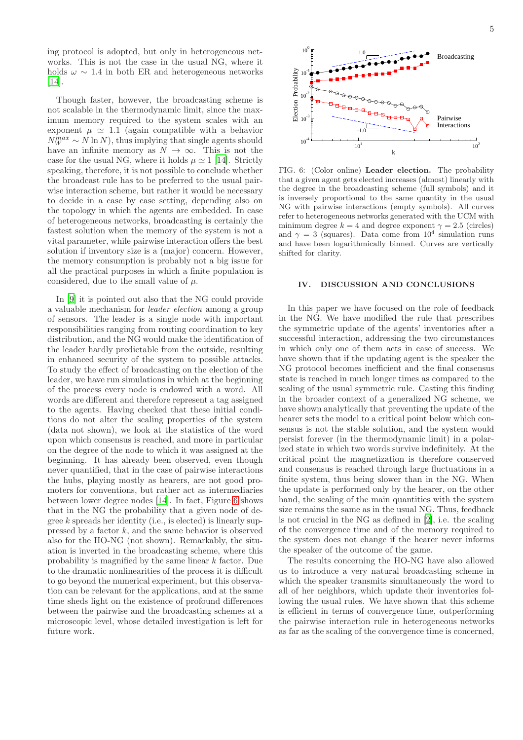ing protocol is adopted, but only in heterogeneous networks. This is not the case in the usual NG, where it holds  $\omega \sim 1.4$  in both ER and heterogeneous networks [\[14\]](#page-6-12).

Though faster, however, the broadcasting scheme is not scalable in the thermodynamic limit, since the maximum memory required to the system scales with an exponent  $\mu \simeq 1.1$  (again compatible with a behavior  $N_W^{max} \sim N \ln N$ , thus implying that single agents should have an infinite memory as  $N \to \infty$ . This is not the case for the usual NG, where it holds  $\mu \approx 1$  [\[14\]](#page-6-12). Strictly speaking, therefore, it is not possible to conclude whether the broadcast rule has to be preferred to the usual pairwise interaction scheme, but rather it would be necessary to decide in a case by case setting, depending also on the topology in which the agents are embedded. In case of heterogeneous networks, broadcasting is certainly the fastest solution when the memory of the system is not a vital parameter, while pairwise interaction offers the best solution if inventory size is a (major) concern. However, the memory consumption is probably not a big issue for all the practical purposes in which a finite population is considered, due to the small value of  $\mu$ .

In [\[9](#page-6-8)] it is pointed out also that the NG could provide a valuable mechanism for leader election among a group of sensors. The leader is a single node with important responsibilities ranging from routing coordination to key distribution, and the NG would make the identification of the leader hardly predictable from the outside, resulting in enhanced security of the system to possible attacks. To study the effect of broadcasting on the election of the leader, we have run simulations in which at the beginning of the process every node is endowed with a word. All words are different and therefore represent a tag assigned to the agents. Having checked that these initial conditions do not alter the scaling properties of the system (data not shown), we look at the statistics of the word upon which consensus is reached, and more in particular on the degree of the node to which it was assigned at the beginning. It has already been observed, even though never quantified, that in the case of pairwise interactions the hubs, playing mostly as hearers, are not good promoters for conventions, but rather act as intermediaries between lower degree nodes [\[14\]](#page-6-12). In fact, Figure [6](#page-5-0) shows that in the NG the probability that a given node of degree  $k$  spreads her identity (i.e., is elected) is linearly suppressed by a factor  $k$ , and the same behavior is observed also for the HO-NG (not shown). Remarkably, the situation is inverted in the broadcasting scheme, where this probability is magnified by the same linear k factor. Due to the dramatic nonlinearities of the process it is difficult to go beyond the numerical experiment, but this observation can be relevant for the applications, and at the same time sheds light on the existence of profound differences between the pairwise and the broadcasting schemes at a microscopic level, whose detailed investigation is left for future work.



<span id="page-5-0"></span>FIG. 6: (Color online) Leader election. The probability that a given agent gets elected increases (almost) linearly with the degree in the broadcasting scheme (full symbols) and it is inversely proportional to the same quantity in the usual NG with pairwise interactions (empty symbols). All curves refer to heterogeneous networks generated with the UCM with minimum degree  $k = 4$  and degree exponent  $\gamma = 2.5$  (circles) and  $\gamma = 3$  (squares). Data come from  $10^4$  simulation runs and have been logarithmically binned. Curves are vertically shifted for clarity.

#### IV. DISCUSSION AND CONCLUSIONS

In this paper we have focused on the role of feedback in the NG. We have modified the rule that prescribes the symmetric update of the agents' inventories after a successful interaction, addressing the two circumstances in which only one of them acts in case of success. We have shown that if the updating agent is the speaker the NG protocol becomes inefficient and the final consensus state is reached in much longer times as compared to the scaling of the usual symmetric rule. Casting this finding in the broader context of a generalized NG scheme, we have shown analytically that preventing the update of the hearer sets the model to a critical point below which consensus is not the stable solution, and the system would persist forever (in the thermodynamic limit) in a polarized state in which two words survive indefinitely. At the critical point the magnetization is therefore conserved and consensus is reached through large fluctuations in a finite system, thus being slower than in the NG. When the update is performed only by the hearer, on the other hand, the scaling of the main quantities with the system size remains the same as in the usual NG. Thus, feedback is not crucial in the NG as defined in [\[2\]](#page-6-1), i.e. the scaling of the convergence time and of the memory required to the system does not change if the hearer never informs the speaker of the outcome of the game.

The results concerning the HO-NG have also allowed us to introduce a very natural broadcasting scheme in which the speaker transmits simultaneously the word to all of her neighbors, which update their inventories following the usual rules. We have shown that this scheme is efficient in terms of convergence time, outperforming the pairwise interaction rule in heterogeneous networks as far as the scaling of the convergence time is concerned,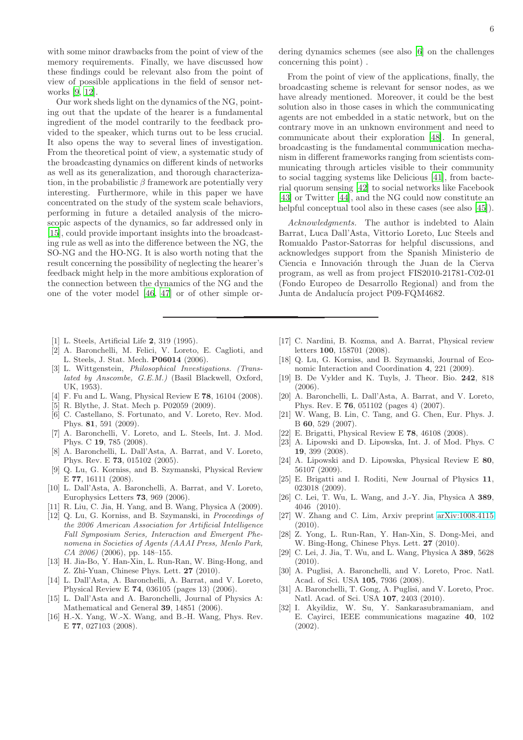with some minor drawbacks from the point of view of the memory requirements. Finally, we have discussed how these findings could be relevant also from the point of view of possible applications in the field of sensor networks [\[9,](#page-6-8) [12](#page-6-10)].

Our work sheds light on the dynamics of the NG, pointing out that the update of the hearer is a fundamental ingredient of the model contrarily to the feedback provided to the speaker, which turns out to be less crucial. It also opens the way to several lines of investigation. From the theoretical point of view, a systematic study of the broadcasting dynamics on different kinds of networks as well as its generalization, and thorough characterization, in the probabilistic  $\beta$  framework are potentially very interesting. Furthermore, while in this paper we have concentrated on the study of the system scale behaviors, performing in future a detailed analysis of the microscopic aspects of the dynamics, so far addressed only in [\[15\]](#page-6-23), could provide important insights into the broadcasting rule as well as into the difference between the NG, the SO-NG and the HO-NG. It is also worth noting that the result concerning the possibility of neglecting the hearer's feedback might help in the more ambitious exploration of the connection between the dynamics of the NG and the one of the voter model [\[46,](#page-7-9) [47](#page-7-10)] or of other simple or-

- <span id="page-6-0"></span>[1] L. Steels, Artificial Life 2, 319 (1995).
- <span id="page-6-1"></span>[2] A. Baronchelli, M. Felici, V. Loreto, E. Caglioti, and L. Steels, J. Stat. Mech. P06014 (2006).
- <span id="page-6-2"></span>[3] L. Wittgenstein, *Philosophical Investigations. (Translated by Anscombe, G.E.M.)* (Basil Blackwell, Oxford, UK, 1953).
- <span id="page-6-3"></span>[4] F. Fu and L. Wang, Physical Review E 78, 16104 (2008).
- <span id="page-6-4"></span>[5] R. Blythe, J. Stat. Mech p. P02059 (2009).
- <span id="page-6-5"></span>[6] C. Castellano, S. Fortunato, and V. Loreto, Rev. Mod. Phys. 81, 591 (2009).
- <span id="page-6-6"></span>[7] A. Baronchelli, V. Loreto, and L. Steels, Int. J. Mod. Phys. C 19, 785 (2008).
- <span id="page-6-7"></span>[8] A. Baronchelli, L. Dall'Asta, A. Barrat, and V. Loreto, Phys. Rev. E 73, 015102 (2005).
- <span id="page-6-8"></span>[9] Q. Lu, G. Korniss, and B. Szymanski, Physical Review E 77, 16111 (2008).
- [10] L. Dall'Asta, A. Baronchelli, A. Barrat, and V. Loreto, Europhysics Letters 73, 969 (2006).
- <span id="page-6-9"></span>[11] R. Liu, C. Jia, H. Yang, and B. Wang, Physica A (2009).
- <span id="page-6-10"></span>[12] Q. Lu, G. Korniss, and B. Szymanski, in *Proceedings of the 2006 American Association for Artificial Intelligence Fall Symposium Series, Interaction and Emergent Phenomena in Societies of Agents (AAAI Press, Menlo Park, CA 2006)* (2006), pp. 148–155.
- <span id="page-6-11"></span>[13] H. Jia-Bo, Y. Han-Xin, L. Run-Ran, W. Bing-Hong, and Z. Zhi-Yuan, Chinese Phys. Lett. 27 (2010).
- <span id="page-6-12"></span>[14] L. Dall'Asta, A. Baronchelli, A. Barrat, and V. Loreto, Physical Review E 74, 036105 (pages 13) (2006).
- <span id="page-6-23"></span>[15] L. Dall'Asta and A. Baronchelli, Journal of Physics A: Mathematical and General 39, 14851 (2006).
- <span id="page-6-13"></span>[16] H.-X. Yang, W.-X. Wang, and B.-H. Wang, Phys. Rev. E 77, 027103 (2008).

dering dynamics schemes (see also [\[6\]](#page-6-5) on the challenges concerning this point) .

From the point of view of the applications, finally, the broadcasting scheme is relevant for sensor nodes, as we have already mentioned. Moreover, it could be the best solution also in those cases in which the communicating agents are not embedded in a static network, but on the contrary move in an unknown environment and need to communicate about their exploration [\[48\]](#page-7-11). In general, broadcasting is the fundamental communication mechanism in different frameworks ranging from scientists communicating through articles visible to their community to social tagging systems like Delicious [\[41\]](#page-7-12), from bacterial quorum sensing [\[42\]](#page-7-13) to social networks like Facebook [\[43\]](#page-7-14) or Twitter [\[44](#page-7-15)], and the NG could now constitute an helpful conceptual tool also in these cases (see also [\[45\]](#page-7-16)).

Acknowledgments. The author is indebted to Alain Barrat, Luca Dall'Asta, Vittorio Loreto, Luc Steels and Romualdo Pastor-Satorras for helpful discussions, and acknowledges support from the Spanish Ministerio de Ciencia e Innovación through the Juan de la Cierva program, as well as from project FIS2010-21781-C02-01 (Fondo Europeo de Desarrollo Regional) and from the Junta de Andalucía project P09-FQM4682.

- <span id="page-6-14"></span>[17] C. Nardini, B. Kozma, and A. Barrat, Physical review letters 100, 158701 (2008).
- <span id="page-6-15"></span>[18] Q. Lu, G. Korniss, and B. Szymanski, Journal of Economic Interaction and Coordination 4, 221 (2009).
- <span id="page-6-16"></span>[19] B. De Vylder and K. Tuyls, J. Theor. Bio. 242, 818  $(2006)$ .
- <span id="page-6-17"></span>[20] A. Baronchelli, L. Dall'Asta, A. Barrat, and V. Loreto, Phys. Rev. E 76, 051102 (pages 4) (2007).
- [21] W. Wang, B. Lin, C. Tang, and G. Chen, Eur. Phys. J. B 60, 529 (2007).
- [22] E. Brigatti, Physical Review E 78, 46108 (2008).
- [23] A. Lipowski and D. Lipowska, Int. J. of Mod. Phys. C 19, 399 (2008).
- [24] A. Lipowski and D. Lipowska, Physical Review E 80, 56107 (2009).
- [25] E. Brigatti and I. Roditi, New Journal of Physics 11, 023018 (2009).
- [26] C. Lei, T. Wu, L. Wang, and J.-Y. Jia, Physica A 389, 4046 (2010).
- <span id="page-6-22"></span>[27] W. Zhang and C. Lim, Arxiv preprint [arXiv:1008.4115](http://arxiv.org/abs/1008.4115) (2010).
- [28] Z. Yong, L. Run-Ran, Y. Han-Xin, S. Dong-Mei, and W. Bing-Hong, Chinese Phys. Lett. 27 (2010).
- <span id="page-6-18"></span>[29] C. Lei, J. Jia, T. Wu, and L. Wang, Physica A 389, 5628  $(2010).$
- <span id="page-6-19"></span>[30] A. Puglisi, A. Baronchelli, and V. Loreto, Proc. Natl. Acad. of Sci. USA 105, 7936 (2008).
- <span id="page-6-20"></span>[31] A. Baronchelli, T. Gong, A. Puglisi, and V. Loreto, Proc. Natl. Acad. of Sci. USA 107, 2403 (2010).
- <span id="page-6-21"></span>[32] I. Akyildiz, W. Su, Y. Sankarasubramaniam, and E. Cayirci, IEEE communications magazine 40, 102 (2002).